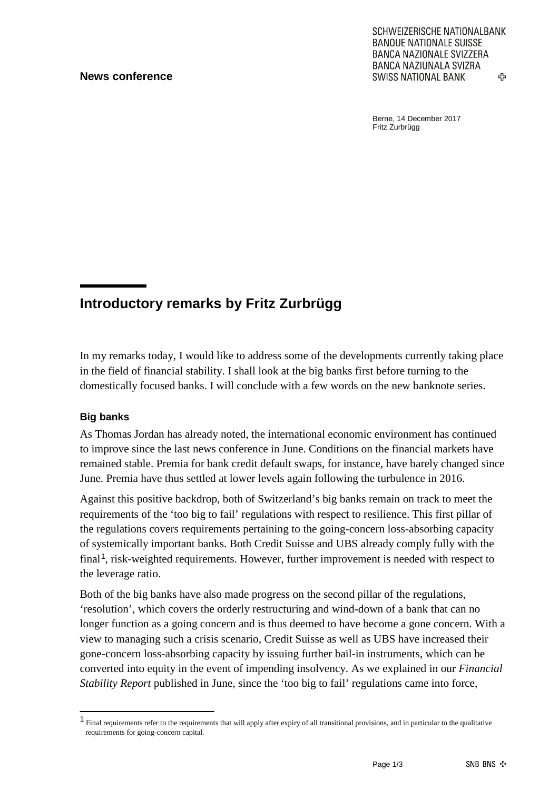### **News conference**

SCHWEIZERISCHE NATIONALBANK **BANQUE NATIONALE SUISSE BANCA NAZIONALE SVIZZERA BANCA NAZIUNALA SVIZRA SWISS NATIONAL BANK** ረት

Berne, 14 December 2017 Fritz Zurbrügg

# **Introductory remarks by Fritz Zurbrügg**

In my remarks today, I would like to address some of the developments currently taking place in the field of financial stability. I shall look at the big banks first before turning to the domestically focused banks. I will conclude with a few words on the new banknote series.

### **Big banks**

As Thomas Jordan has already noted, the international economic environment has continued to improve since the last news conference in June. Conditions on the financial markets have remained stable. Premia for bank credit default swaps, for instance, have barely changed since June. Premia have thus settled at lower levels again following the turbulence in 2016.

Against this positive backdrop, both of Switzerland's big banks remain on track to meet the requirements of the 'too big to fail' regulations with respect to resilience. This first pillar of the regulations covers requirements pertaining to the going-concern loss-absorbing capacity of systemically important banks. Both Credit Suisse and UBS already comply fully with the final<sup>[1](#page-0-0)</sup>, risk-weighted requirements. However, further improvement is needed with respect to the leverage ratio.

Both of the big banks have also made progress on the second pillar of the regulations, 'resolution', which covers the orderly restructuring and wind-down of a bank that can no longer function as a going concern and is thus deemed to have become a gone concern. With a view to managing such a crisis scenario, Credit Suisse as well as UBS have increased their gone-concern loss-absorbing capacity by issuing further bail-in instruments, which can be converted into equity in the event of impending insolvency. As we explained in our *Financial Stability Report* published in June, since the 'too big to fail' regulations came into force,

<span id="page-0-0"></span><sup>1</sup> Final requirements refer to the requirements that will apply after expiry of all transitional provisions, and in particular to the qualitative requirements for going-concern capital.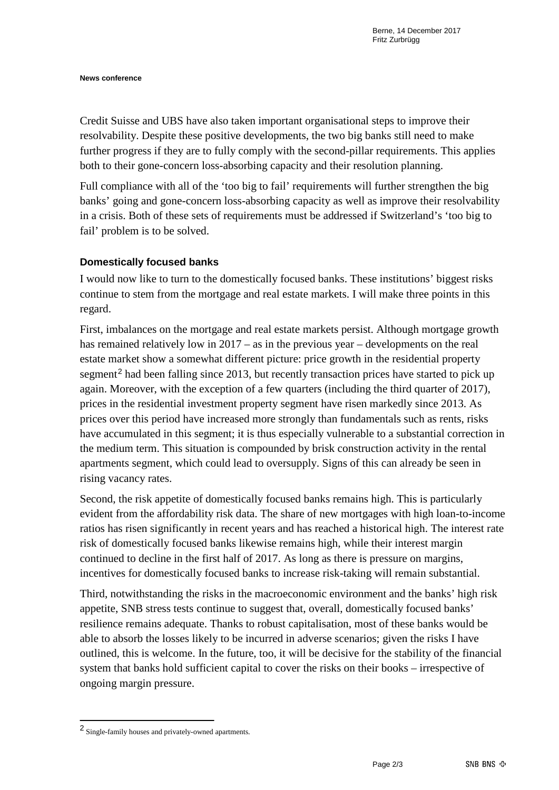#### **News conference**

Credit Suisse and UBS have also taken important organisational steps to improve their resolvability. Despite these positive developments, the two big banks still need to make further progress if they are to fully comply with the second-pillar requirements. This applies both to their gone-concern loss-absorbing capacity and their resolution planning.

Full compliance with all of the 'too big to fail' requirements will further strengthen the big banks' going and gone-concern loss-absorbing capacity as well as improve their resolvability in a crisis. Both of these sets of requirements must be addressed if Switzerland's 'too big to fail' problem is to be solved.

# **Domestically focused banks**

I would now like to turn to the domestically focused banks. These institutions' biggest risks continue to stem from the mortgage and real estate markets. I will make three points in this regard.

First, imbalances on the mortgage and real estate markets persist. Although mortgage growth has remained relatively low in 2017 – as in the previous year – developments on the real estate market show a somewhat different picture: price growth in the residential property segment<sup>[2](#page-1-0)</sup> had been falling since 2013, but recently transaction prices have started to pick up again. Moreover, with the exception of a few quarters (including the third quarter of 2017), prices in the residential investment property segment have risen markedly since 2013. As prices over this period have increased more strongly than fundamentals such as rents, risks have accumulated in this segment; it is thus especially vulnerable to a substantial correction in the medium term. This situation is compounded by brisk construction activity in the rental apartments segment, which could lead to oversupply. Signs of this can already be seen in rising vacancy rates.

Second, the risk appetite of domestically focused banks remains high. This is particularly evident from the affordability risk data. The share of new mortgages with high loan-to-income ratios has risen significantly in recent years and has reached a historical high. The interest rate risk of domestically focused banks likewise remains high, while their interest margin continued to decline in the first half of 2017. As long as there is pressure on margins, incentives for domestically focused banks to increase risk-taking will remain substantial.

Third, notwithstanding the risks in the macroeconomic environment and the banks' high risk appetite, SNB stress tests continue to suggest that, overall, domestically focused banks' resilience remains adequate. Thanks to robust capitalisation, most of these banks would be able to absorb the losses likely to be incurred in adverse scenarios; given the risks I have outlined, this is welcome. In the future, too, it will be decisive for the stability of the financial system that banks hold sufficient capital to cover the risks on their books – irrespective of ongoing margin pressure.

<span id="page-1-0"></span><sup>2</sup> Single-family houses and privately-owned apartments.